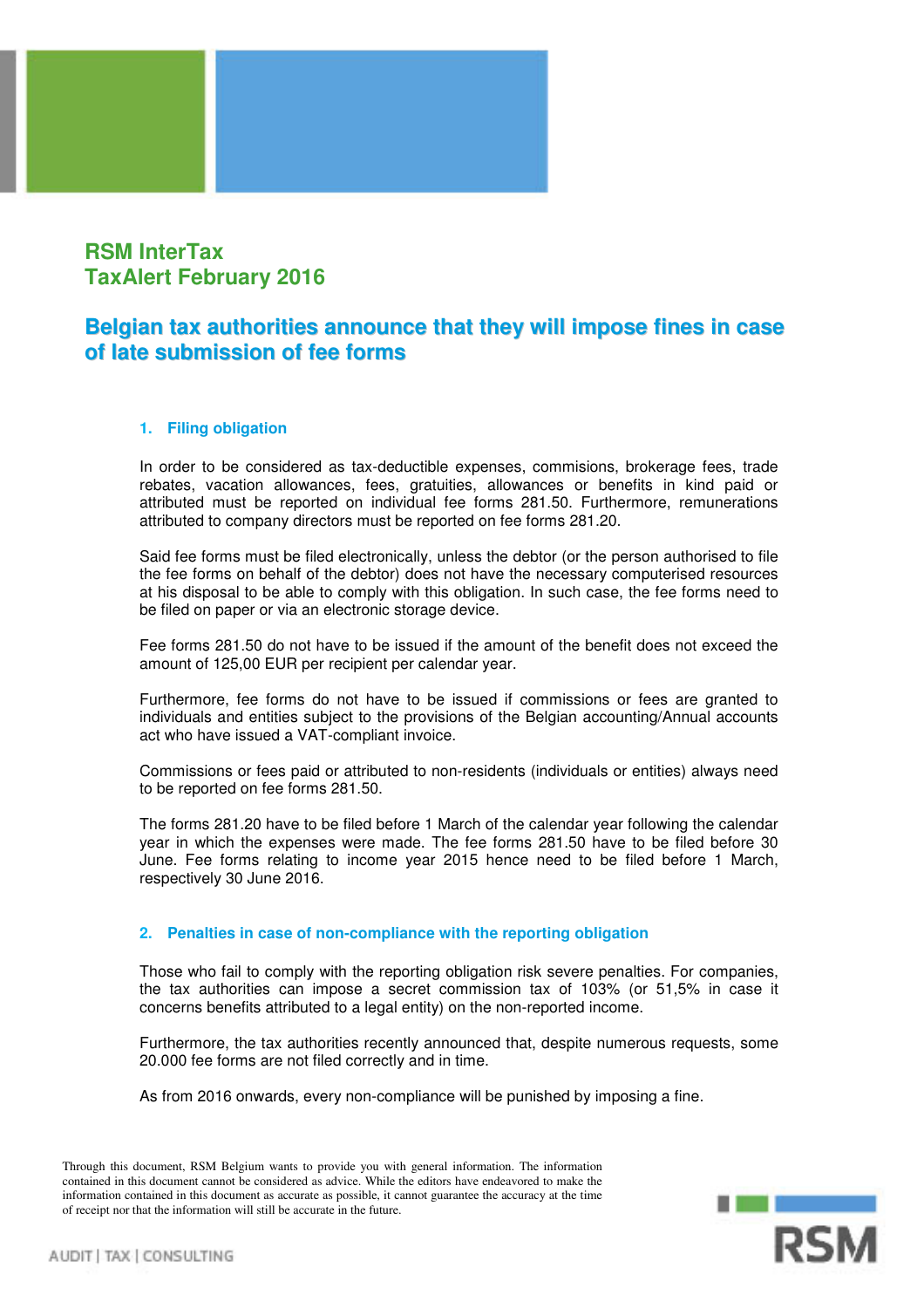## **RSM InterTax TaxAlert February 2016**

## **Belgian tax authorities announce that they will impose fines in case of late submission of fee forms**

## **1. Filing obligation**

In order to be considered as tax-deductible expenses, commisions, brokerage fees, trade rebates, vacation allowances, fees, gratuities, allowances or benefits in kind paid or attributed must be reported on individual fee forms 281.50. Furthermore, remunerations attributed to company directors must be reported on fee forms 281.20.

Said fee forms must be filed electronically, unless the debtor (or the person authorised to file the fee forms on behalf of the debtor) does not have the necessary computerised resources at his disposal to be able to comply with this obligation. In such case, the fee forms need to be filed on paper or via an electronic storage device.

Fee forms 281.50 do not have to be issued if the amount of the benefit does not exceed the amount of 125,00 EUR per recipient per calendar year.

Furthermore, fee forms do not have to be issued if commissions or fees are granted to individuals and entities subject to the provisions of the Belgian accounting/Annual accounts act who have issued a VAT-compliant invoice.

Commissions or fees paid or attributed to non-residents (individuals or entities) always need to be reported on fee forms 281.50.

The forms 281.20 have to be filed before 1 March of the calendar year following the calendar year in which the expenses were made. The fee forms 281.50 have to be filed before 30 June. Fee forms relating to income year 2015 hence need to be filed before 1 March, respectively 30 June 2016.

## **2. Penalties in case of non-compliance with the reporting obligation**

Those who fail to comply with the reporting obligation risk severe penalties. For companies, the tax authorities can impose a secret commission tax of 103% (or 51,5% in case it concerns benefits attributed to a legal entity) on the non-reported income.

Furthermore, the tax authorities recently announced that, despite numerous requests, some 20.000 fee forms are not filed correctly and in time.

As from 2016 onwards, every non-compliance will be punished by imposing a fine.

Through this document, RSM Belgium wants to provide you with general information. The information contained in this document cannot be considered as advice. While the editors have endeavored to make the information contained in this document as accurate as possible, it cannot guarantee the accuracy at the time of receipt nor that the information will still be accurate in the future.

**RSM**